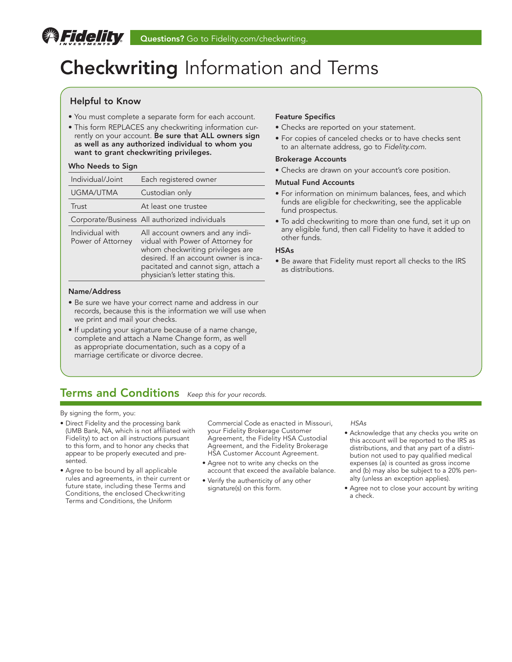# Checkwriting Information and Terms

### Helpful to Know

*Fidelity* 

- You must complete a separate form for each account.
- This form REPLACES any checkwriting information currently on your account. Be sure that ALL owners sign as well as any authorized individual to whom you want to grant checkwriting privileges.

### Who Needs to Sign

| Individual/Joint                     | Each registered owner                                                                                                                                                                                                         |
|--------------------------------------|-------------------------------------------------------------------------------------------------------------------------------------------------------------------------------------------------------------------------------|
| UGMA/UTMA                            | Custodian only                                                                                                                                                                                                                |
| Trust                                | At least one trustee                                                                                                                                                                                                          |
|                                      | Corporate/Business All authorized individuals                                                                                                                                                                                 |
| Individual with<br>Power of Attorney | All account owners and any indi-<br>vidual with Power of Attorney for<br>whom checkwriting privileges are<br>desired. If an account owner is inca-<br>pacitated and cannot sign, attach a<br>physician's letter stating this. |

### Name/Address

- Be sure we have your correct name and address in our records, because this is the information we will use when we print and mail your checks.
- If updating your signature because of a name change, complete and attach a Name Change form, as well as appropriate documentation, such as a copy of a marriage certificate or divorce decree.

### Feature Specifics

- Checks are reported on your statement.
- For copies of canceled checks or to have checks sent to an alternate address, go to *[Fidelity.com](http://www.Fidelity.com)*.

### Brokerage Accounts

• Checks are drawn on your account's core position.

### Mutual Fund Accounts

- For information on minimum balances, fees, and which funds are eligible for checkwriting, see the applicable fund prospectus.
- To add checkwriting to more than one fund, set it up on any eligible fund, then call Fidelity to have it added to other funds.

### HSAs

• Be aware that Fidelity must report all checks to the IRS as distributions.

### Terms and Conditions *Keep this for your records.*

By signing the form, you:

- Direct Fidelity and the processing bank (UMB Bank, NA, which is not affiliated with Fidelity) to act on all instructions pursuant to this form, and to honor any checks that appear to be properly executed and presented.
- Agree to be bound by all applicable rules and agreements, in their current or future state, including these Terms and Conditions, the enclosed Checkwriting Terms and Conditions, the Uniform

Commercial Code as enacted in Missouri, your Fidelity Brokerage Customer Agreement, the Fidelity HSA Custodial Agreement, and the Fidelity Brokerage HSA Customer Account Agreement.

- Agree not to write any checks on the account that exceed the available balance.
- Verify the authenticity of any other signature(s) on this form.

### *HSAs*

- Acknowledge that any checks you write on this account will be reported to the IRS as distributions, and that any part of a distribution not used to pay qualified medical expenses (a) is counted as gross income and (b) may also be subject to a 20% penalty (unless an exception applies).
- Agree not to close your account by writing a check.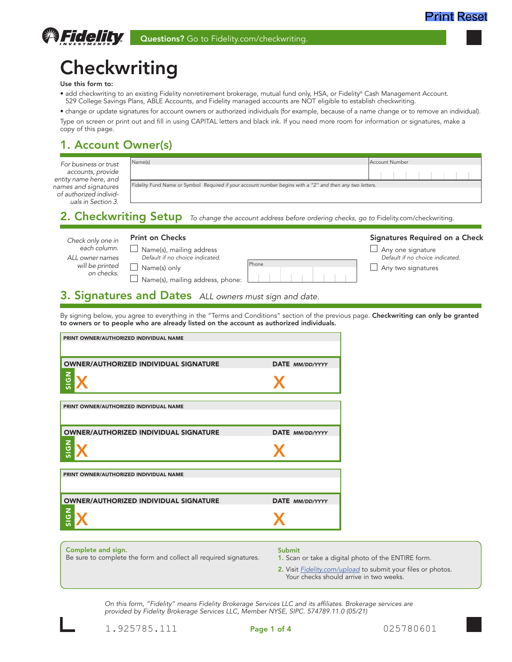# **Checkwriting**

#### Use this form to:

*<i><u>SFidelity</u>* 

• add checkwriting to an existing Fidelity nonretirement brokerage, mutual fund only, HSA, or Fidelity® Cash Management Account. 529 College Savings Plans, ABLE Accounts, and Fidelity managed accounts are NOT eligible to establish checkwriting.

• change or update signatures for account owners or authorized individuals (for example, because of a name change or to remove an individual). Type on screen or print out and fill in using CAPITAL letters and black ink. If you need more room for information or signatures, make a copy of this page.

### 1. Account Owner(s)

| For business or trust                                                | Name(s)                                                                                                   | Account Number |  |  |  |
|----------------------------------------------------------------------|-----------------------------------------------------------------------------------------------------------|----------------|--|--|--|
| accounts, provide<br>entity name here, and                           |                                                                                                           |                |  |  |  |
| names and signatures<br>of authorized individ-<br>uals in Section 3. | Fidelity Fund Name or Symbol Required if your account number begins with a "2" and then any two letters.  |                |  |  |  |
|                                                                      | 2 Charkwriting Setup to charge the account address before endering charks as to Eidelity com/charkwriting |                |  |  |  |

2. Checkwriting Setup *To change the account address before ordering checks, go to* Fidelity.com/checkwriting*.*

| <b>Print on Checks</b><br>Check only one in<br>each column.<br>$\Box$ Name(s), mailing address<br>Default if no choice indicated.<br>ALL owner names<br>Phone<br>will be printed<br>Name(s) only<br>on checks.<br>$\Box$ Name(s), mailing address, phone: | Signatures Required on a Check<br>Any one signature<br>Default if no choice indicated.<br>Any two signatures |
|-----------------------------------------------------------------------------------------------------------------------------------------------------------------------------------------------------------------------------------------------------------|--------------------------------------------------------------------------------------------------------------|
|-----------------------------------------------------------------------------------------------------------------------------------------------------------------------------------------------------------------------------------------------------------|--------------------------------------------------------------------------------------------------------------|

### 3. Signatures and Dates *ALL owners must sign and date.*

By signing below, you agree to everything in the "Terms and Conditions" section of the previous page. Checkwriting can only be granted to owners or to people who are already listed on the account as authorized individuals.

| PRINT OWNER/AUTHORIZED INDIVIDUAL NAME                            |                                                                     |  |
|-------------------------------------------------------------------|---------------------------------------------------------------------|--|
|                                                                   |                                                                     |  |
|                                                                   |                                                                     |  |
| <b>OWNER/AUTHORIZED INDIVIDUAL SIGNATURE</b>                      | DATE MM/DD/YYYY                                                     |  |
|                                                                   |                                                                     |  |
| <b>NPIS</b>                                                       |                                                                     |  |
|                                                                   |                                                                     |  |
|                                                                   |                                                                     |  |
| PRINT OWNER/AUTHORIZED INDIVIDUAL NAME                            |                                                                     |  |
|                                                                   |                                                                     |  |
|                                                                   |                                                                     |  |
| <b>OWNER/AUTHORIZED INDIVIDUAL SIGNATURE</b>                      | DATE MM/DD/YYYY                                                     |  |
|                                                                   |                                                                     |  |
| <b>NPIS</b>                                                       |                                                                     |  |
|                                                                   |                                                                     |  |
|                                                                   |                                                                     |  |
| PRINT OWNER/AUTHORIZED INDIVIDUAL NAME                            |                                                                     |  |
|                                                                   |                                                                     |  |
|                                                                   |                                                                     |  |
| <b>OWNER/AUTHORIZED INDIVIDUAL SIGNATURE</b>                      | DATE MM/DD/YYYY                                                     |  |
|                                                                   |                                                                     |  |
| <b>NPIS</b>                                                       |                                                                     |  |
|                                                                   |                                                                     |  |
|                                                                   |                                                                     |  |
|                                                                   |                                                                     |  |
| Complete and sign.                                                | Submit                                                              |  |
| Be sure to complete the form and collect all required signatures. | 1. Scan or take a digital photo of the ENTIRE form.                 |  |
|                                                                   | 2. Visit <b>Fidelity.com/upload</b> to submit your files or photos. |  |
|                                                                   | Your checks should arrive in two weeks.                             |  |

*On this form, "Fidelity" means Fidelity Brokerage Services LLC and its affiliates. Brokerage services are provided by Fidelity Brokerage Services LLC, Member NYSE, SIPC. 574789.11.0 (05/21)*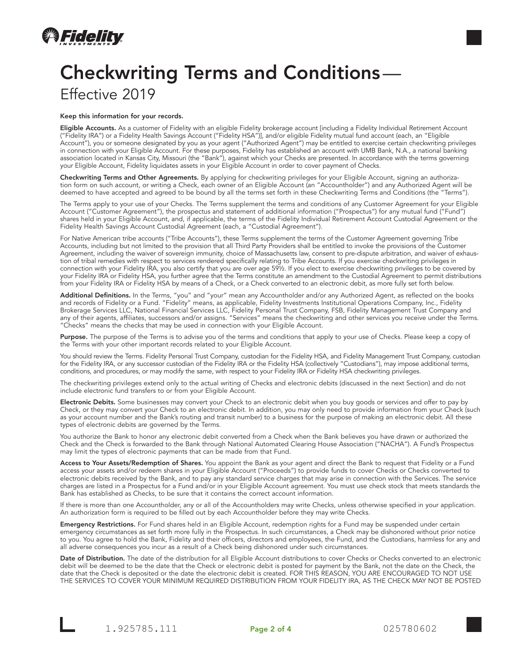

## Checkwriting Terms and Conditions— Effective 2019

#### Keep this information for your records.

Eligible Accounts. As a customer of Fidelity with an eligible Fidelity brokerage account [including a Fidelity Individual Retirement Account ("Fidelity IRA") or a Fidelity Health Savings Account ("Fidelity HSA")], and/or eligible Fidelity mutual fund account (each, an "Eligible Account"), you or someone designated by you as your agent ("Authorized Agent") may be entitled to exercise certain checkwriting privileges in connection with your Eligible Account. For these purposes, Fidelity has established an account with UMB Bank, N.A., a national banking association located in Kansas City, Missouri (the "Bank"), against which your Checks are presented. In accordance with the terms governing your Eligible Account, Fidelity liquidates assets in your Eligible Account in order to cover payment of Checks.

Checkwriting Terms and Other Agreements. By applying for checkwriting privileges for your Eligible Account, signing an authorization form on such account, or writing a Check, each owner of an Eligible Account (an "Accountholder") and any Authorized Agent will be deemed to have accepted and agreed to be bound by all the terms set forth in these Checkwriting Terms and Conditions (the "Terms").

The Terms apply to your use of your Checks. The Terms supplement the terms and conditions of any Customer Agreement for your Eligible Account ("Customer Agreement"), the prospectus and statement of additional information ("Prospectus") for any mutual fund ("Fund") shares held in your Eligible Account, and, if applicable, the terms of the Fidelity Individual Retirement Account Custodial Agreement or the Fidelity Health Savings Account Custodial Agreement (each, a "Custodial Agreement").

For Native American tribe accounts ("Tribe Accounts"), these Terms supplement the terms of the Customer Agreement governing Tribe Accounts, including but not limited to the provision that all Third Party Providers shall be entitled to invoke the provisions of the Customer Agreement, including the waiver of sovereign immunity, choice of Massachusetts law, consent to pre-dispute arbitration, and waiver of exhaustion of tribal remedies with respect to services rendered specifically relating to Tribe Accounts. If you exercise checkwriting privileges in connection with your Fidelity IRA, you also certify that you are over age 59½. If you elect to exercise checkwriting privileges to be covered by your Fidelity IRA or Fidelity HSA, you further agree that the Terms constitute an amendment to the Custodial Agreement to permit distributions from your Fidelity IRA or Fidelity HSA by means of a Check, or a Check converted to an electronic debit, as more fully set forth below.

**Additional Definitions.** In the Terms, "you" and "your" mean any Accountholder and/or any Authorized Agent, as reflected on the books and records of Fidelity or a Fund. "Fidelity" means, as applicable, Fidelity Investments Institutional Operations Company, Inc., Fidelity Brokerage Services LLC, National Financial Services LLC, Fidelity Personal Trust Company, FSB, Fidelity Management Trust Company and any of their agents, affiliates, successors and/or assigns. "Services" means the checkwriting and other services you receive under the Terms. "Checks" means the checks that may be used in connection with your Eligible Account.

Purpose. The purpose of the Terms is to advise you of the terms and conditions that apply to your use of Checks. Please keep a copy of the Terms with your other important records related to your Eligible Account.

You should review the Terms. Fidelity Personal Trust Company, custodian for the Fidelity HSA, and Fidelity Management Trust Company, custodian for the Fidelity IRA, or any successor custodian of the Fidelity IRA or the Fidelity HSA (collectively "Custodians"), may impose additional terms, conditions, and procedures, or may modify the same, with respect to your Fidelity IRA or Fidelity HSA checkwriting privileges.

The checkwriting privileges extend only to the actual writing of Checks and electronic debits (discussed in the next Section) and do not include electronic fund transfers to or from your Eligible Account.

Electronic Debits. Some businesses may convert your Check to an electronic debit when you buy goods or services and offer to pay by Check, or they may convert your Check to an electronic debit. In addition, you may only need to provide information from your Check (such as your account number and the Bank's routing and transit number) to a business for the purpose of making an electronic debit. All these types of electronic debits are governed by the Terms.

You authorize the Bank to honor any electronic debit converted from a Check when the Bank believes you have drawn or authorized the Check and the Check is forwarded to the Bank through National Automated Clearing House Association ("NACHA"). A Fund's Prospectus may limit the types of electronic payments that can be made from that Fund.

Access to Your Assets/Redemption of Shares. You appoint the Bank as your agent and direct the Bank to request that Fidelity or a Fund access your assets and/or redeem shares in your Eligible Account ("Proceeds") to provide funds to cover Checks or Checks converted to electronic debits received by the Bank, and to pay any standard service charges that may arise in connection with the Services. The service charges are listed in a Prospectus for a Fund and/or in your Eligible Account agreement. You must use check stock that meets standards the Bank has established as Checks, to be sure that it contains the correct account information.

If there is more than one Accountholder, any or all of the Accountholders may write Checks, unless otherwise specified in your application. An authorization form is required to be filled out by each Accountholder before they may write Checks.

Emergency Restrictions. For Fund shares held in an Eligible Account, redemption rights for a Fund may be suspended under certain emergency circumstances as set forth more fully in the Prospectus. In such circumstances, a Check may be dishonored without prior notice to you. You agree to hold the Bank, Fidelity and their officers, directors and employees, the Fund, and the Custodians, harmless for any and all adverse consequences you incur as a result of a Check being dishonored under such circumstances.

Date of Distribution. The date of the distribution for all Eligible Account distributions to cover Checks or Checks converted to an electronic debit will be deemed to be the date that the Check or electronic debit is posted for payment by the Bank, not the date on the Check, the date that the Check is deposited or the date the electronic debit is created. FOR THIS REASON, YOU ARE ENCOURAGED TO NOT USE THE SERVICES TO COVER YOUR MINIMUM REQUIRED DISTRIBUTION FROM YOUR FIDELITY IRA, AS THE CHECK MAY NOT BE POSTED

1.925785.111 **Page 2 of 4** 025780602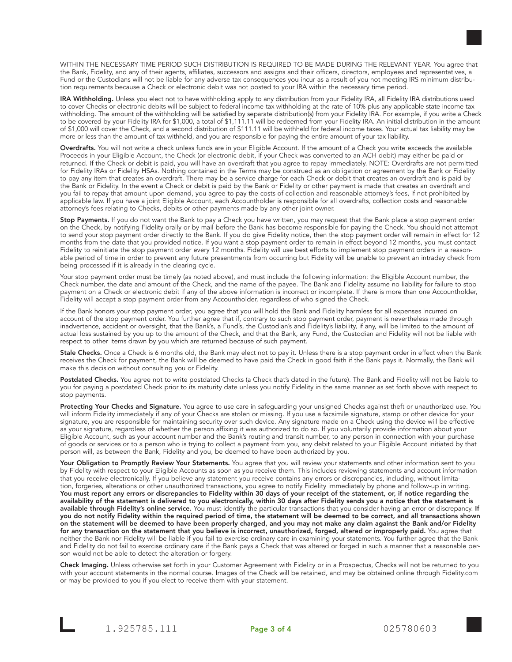WITHIN THE NECESSARY TIME PERIOD SUCH DISTRIBUTION IS REQUIRED TO BE MADE DURING THE RELEVANT YEAR. You agree that the Bank, Fidelity, and any of their agents, affiliates, successors and assigns and their officers, directors, employees and representatives, a Fund or the Custodians will not be liable for any adverse tax consequences you incur as a result of you not meeting IRS minimum distribution requirements because a Check or electronic debit was not posted to your IRA within the necessary time period.

IRA Withholding. Unless you elect not to have withholding apply to any distribution from your Fidelity IRA, all Fidelity IRA distributions used to cover Checks or electronic debits will be subject to federal income tax withholding at the rate of 10% plus any applicable state income tax withholding. The amount of the withholding will be satisfied by separate distribution(s) from your Fidelity IRA. For example, if you write a Check to be covered by your Fidelity IRA for \$1,000, a total of \$1,111.11 will be redeemed from your Fidelity IRA. An initial distribution in the amount of \$1,000 will cover the Check, and a second distribution of \$111.11 will be withheld for federal income taxes. Your actual tax liability may be more or less than the amount of tax withheld, and you are responsible for paying the entire amount of your tax liability.

Overdrafts. You will not write a check unless funds are in your Eligible Account. If the amount of a Check you write exceeds the available Proceeds in your Eligible Account, the Check (or electronic debit, if your Check was converted to an ACH debit) may either be paid or returned. If the Check or debit is paid, you will have an overdraft that you agree to repay immediately. NOTE: Overdrafts are not permitted for Fidelity IRAs or Fidelity HSAs. Nothing contained in the Terms may be construed as an obligation or agreement by the Bank or Fidelity to pay any item that creates an overdraft. There may be a service charge for each Check or debit that creates an overdraft and is paid by the Bank or Fidelity. In the event a Check or debit is paid by the Bank or Fidelity or other payment is made that creates an overdraft and you fail to repay that amount upon demand, you agree to pay the costs of collection and reasonable attorney's fees, if not prohibited by applicable law. If you have a joint Eligible Account, each Accountholder is responsible for all overdrafts, collection costs and reasonable attorney's fees relating to Checks, debits or other payments made by any other joint owner.

Stop Payments. If you do not want the Bank to pay a Check you have written, you may request that the Bank place a stop payment order on the Check, by notifying Fidelity orally or by mail before the Bank has become responsible for paying the Check. You should not attempt to send your stop payment order directly to the Bank. If you do give Fidelity notice, then the stop payment order will remain in effect for 12 months from the date that you provided notice. If you want a stop payment order to remain in effect beyond 12 months, you must contact Fidelity to reinitiate the stop payment order every 12 months. Fidelity will use best efforts to implement stop payment orders in a reasonable period of time in order to prevent any future presentments from occurring but Fidelity will be unable to prevent an intraday check from being processed if it is already in the clearing cycle.

Your stop payment order must be timely (as noted above), and must include the following information: the Eligible Account number, the Check number, the date and amount of the Check, and the name of the payee. The Bank and Fidelity assume no liability for failure to stop payment on a Check or electronic debit if any of the above information is incorrect or incomplete. If there is more than one Accountholder, Fidelity will accept a stop payment order from any Accountholder, regardless of who signed the Check.

If the Bank honors your stop payment order, you agree that you will hold the Bank and Fidelity harmless for all expenses incurred on account of the stop payment order. You further agree that if, contrary to such stop payment order, payment is nevertheless made through inadvertence, accident or oversight, that the Bank's, a Fund's, the Custodian's and Fidelity's liability, if any, will be limited to the amount of actual loss sustained by you up to the amount of the Check, and that the Bank, any Fund, the Custodian and Fidelity will not be liable with respect to other items drawn by you which are returned because of such payment.

Stale Checks. Once a Check is 6 months old, the Bank may elect not to pay it. Unless there is a stop payment order in effect when the Bank receives the Check for payment, the Bank will be deemed to have paid the Check in good faith if the Bank pays it. Normally, the Bank will make this decision without consulting you or Fidelity.

Postdated Checks. You agree not to write postdated Checks (a Check that's dated in the future). The Bank and Fidelity will not be liable to you for paying a postdated Check prior to its maturity date unless you notify Fidelity in the same manner as set forth above with respect to stop payments.

Protecting Your Checks and Signature. You agree to use care in safeguarding your unsigned Checks against theft or unauthorized use. You will inform Fidelity immediately if any of your Checks are stolen or missing. If you use a facsimile signature, stamp or other device for your signature, you are responsible for maintaining security over such device. Any signature made on a Check using the device will be effective as your signature, regardless of whether the person affixing it was authorized to do so. If you voluntarily provide information about your Eligible Account, such as your account number and the Bank's routing and transit number, to any person in connection with your purchase of goods or services or to a person who is trying to collect a payment from you, any debit related to your Eligible Account initiated by that person will, as between the Bank, Fidelity and you, be deemed to have been authorized by you.

Your Obligation to Promptly Review Your Statements. You agree that you will review your statements and other information sent to you by Fidelity with respect to your Eligible Accounts as soon as you receive them. This includes reviewing statements and account information that you receive electronically. If you believe any statement you receive contains any errors or discrepancies, including, without limitation, forgeries, alterations or other unauthorized transactions, you agree to notify Fidelity immediately by phone and follow-up in writing. You must report any errors or discrepancies to Fidelity within 30 days of your receipt of the statement, or, if notice regarding the availability of the statement is delivered to you electronically, within 30 days after Fidelity sends you a notice that the statement is available through Fidelity's online service. You must identify the particular transactions that you consider having an error or discrepancy. If you do not notify Fidelity within the required period of time, the statement will be deemed to be correct, and all transactions shown on the statement will be deemed to have been properly charged, and you may not make any claim against the Bank and/or Fidelity for any transaction on the statement that you believe is incorrect, unauthorized, forged, altered or improperly paid. You agree that neither the Bank nor Fidelity will be liable if you fail to exercise ordinary care in examining your statements. You further agree that the Bank and Fidelity do not fail to exercise ordinary care if the Bank pays a Check that was altered or forged in such a manner that a reasonable person would not be able to detect the alteration or forgery.

Check Imaging. Unless otherwise set forth in your Customer Agreement with Fidelity or in a Prospectus, Checks will not be returned to you with your account statements in the normal course. Images of the Check will be retained, and may be obtained online through Fidelity.com or may be provided to you if you elect to receive them with your statement.

1.925785.111 **Page 3 of 4** 025780603

Page 3 of 4